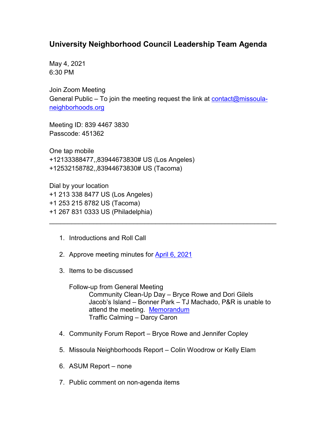## **University Neighborhood Council Leadership Team Agenda**

May 4, 2021 6:30 PM

Join Zoom Meeting General Public – To join the meeting request the link at  $\frac{\text{contact}(\omega \text{missoula}}{\text{a}}$ [neighborhoods.org](mailto:contact@missoula-neighborhoods.org)

Meeting ID: 839 4467 3830 Passcode: 451362

One tap mobile +12133388477,,83944673830# US (Los Angeles) +12532158782,,83944673830# US (Tacoma)

Dial by your location +1 213 338 8477 US (Los Angeles) +1 253 215 8782 US (Tacoma) +1 267 831 0333 US (Philadelphia)

- 1. Introductions and Roll Call
- 2. Approve meeting minutes for April [6, 2021](https://www.ci.missoula.mt.us/Archive.aspx?ADID=15956)
- 3. Items to be discussed

Follow-up from General Meeting Community Clean-Up Day – Bryce Rowe and Dori Gilels Jacob's Island – Bonner Park – TJ Machado, P&R is unable to attend the meeting. [Memorandum](https://www.ci.missoula.mt.us/DocumentCenter/View/56449/TJ-Machado-Unvierstiy-Lead-team-upodate-52021) Traffic Calming – Darcy Caron

\_\_\_\_\_\_\_\_\_\_\_\_\_\_\_\_\_\_\_\_\_\_\_\_\_\_\_\_\_\_\_\_\_\_\_\_\_\_\_\_\_\_\_\_\_\_\_\_\_\_\_\_\_\_\_\_\_\_\_\_\_\_

- 4. Community Forum Report Bryce Rowe and Jennifer Copley
- 5. Missoula Neighborhoods Report Colin Woodrow or Kelly Elam
- 6. ASUM Report none
- 7. Public comment on non-agenda items